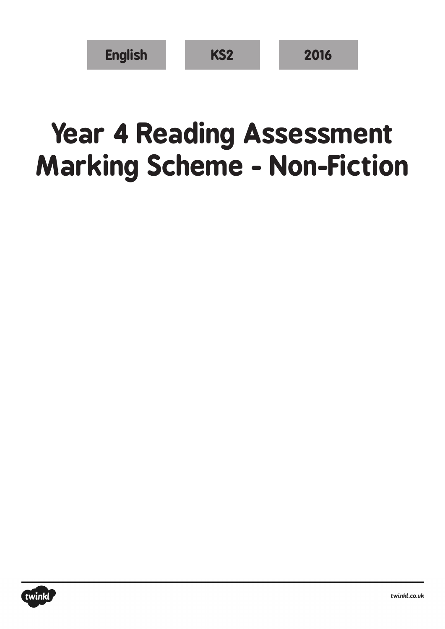| <b>English</b> | KS <sub>2</sub> | 2016 |
|----------------|-----------------|------|
|----------------|-----------------|------|

## **Year 4 Reading Assessment Marking Scheme - Non-Fiction**

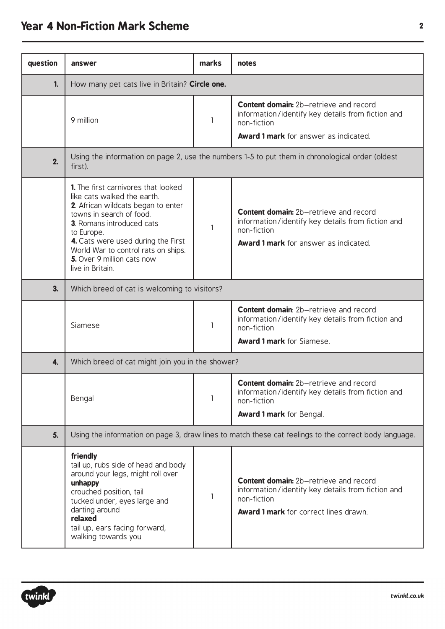## **Year 4 Non-Fiction Mark Scheme <sup>2</sup>**

| question | answer                                                                                                                                                                                                                                                                                                                        | marks | notes                                                                                                                                                             |  |  |
|----------|-------------------------------------------------------------------------------------------------------------------------------------------------------------------------------------------------------------------------------------------------------------------------------------------------------------------------------|-------|-------------------------------------------------------------------------------------------------------------------------------------------------------------------|--|--|
| 1.       | How many pet cats live in Britain? Circle one.                                                                                                                                                                                                                                                                                |       |                                                                                                                                                                   |  |  |
|          | 9 million                                                                                                                                                                                                                                                                                                                     | 1     | <b>Content domain:</b> 2b-retrieve and record<br>information/identify key details from fiction and<br>non-fiction<br><b>Award 1 mark</b> for answer as indicated. |  |  |
| 2.       | Using the information on page 2, use the numbers 1-5 to put them in chronological order (oldest<br>first).                                                                                                                                                                                                                    |       |                                                                                                                                                                   |  |  |
|          | <b>1.</b> The first carnivores that looked<br>like cats walked the earth.<br>2. African wildcats began to enter<br>towns in search of food.<br><b>3</b> . Romans introduced cats<br>to Europe.<br>4. Cats were used during the First<br>World War to control rats on ships.<br>5. Over 9 million cats now<br>live in Britain. | 1     | <b>Content domain:</b> 2b-retrieve and record<br>information/identify key details from fiction and<br>non-fiction<br><b>Award 1 mark</b> for answer as indicated. |  |  |
| 3.       | Which breed of cat is welcoming to visitors?                                                                                                                                                                                                                                                                                  |       |                                                                                                                                                                   |  |  |
|          | Siamese                                                                                                                                                                                                                                                                                                                       | 1     | <b>Content domain:</b> 2b-retrieve and record<br>information/identify key details from fiction and<br>non-fiction<br><b>Award 1 mark</b> for Siamese.             |  |  |
| 4.       | Which breed of cat might join you in the shower?                                                                                                                                                                                                                                                                              |       |                                                                                                                                                                   |  |  |
|          | Bengal                                                                                                                                                                                                                                                                                                                        | 1     | <b>Content domain:</b> 2b–retrieve and record<br>information/identify key details from fiction and<br>non-fiction<br><b>Award 1 mark</b> for Bengal.              |  |  |
| 5.       | Using the information on page 3, draw lines to match these cat feelings to the correct body language.                                                                                                                                                                                                                         |       |                                                                                                                                                                   |  |  |
|          | friendly<br>tail up, rubs side of head and body<br>around your legs, might roll over<br>unhappy<br>crouched position, tail<br>tucked under, eyes large and<br>darting around<br>relaxed<br>tail up, ears facing forward,<br>walking towards you                                                                               | 1     | <b>Content domain:</b> 2b-retrieve and record<br>information/identify key details from fiction and<br>non-fiction<br><b>Award 1 mark</b> for correct lines drawn. |  |  |

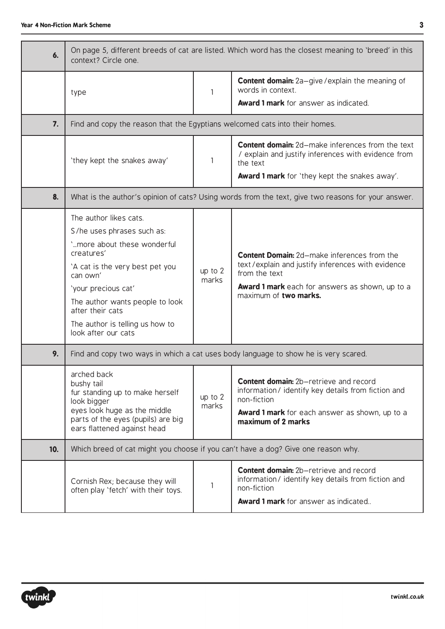| 6.  | On page 5, different breeds of cat are listed. Which word has the closest meaning to 'breed' in this<br>context? Circle one.                                                                                                                                                             |                    |                                                                                                                                                                                                      |  |
|-----|------------------------------------------------------------------------------------------------------------------------------------------------------------------------------------------------------------------------------------------------------------------------------------------|--------------------|------------------------------------------------------------------------------------------------------------------------------------------------------------------------------------------------------|--|
|     | type                                                                                                                                                                                                                                                                                     | $\mathbf{1}$       | <b>Content domain:</b> 2a-give/explain the meaning of<br>words in context.<br>Award 1 mark for answer as indicated.                                                                                  |  |
| 7.  | Find and copy the reason that the Egyptians welcomed cats into their homes.                                                                                                                                                                                                              |                    |                                                                                                                                                                                                      |  |
|     | 'they kept the snakes away'                                                                                                                                                                                                                                                              | 1                  | <b>Content domain:</b> 2d-make inferences from the text<br>/ explain and justify inferences with evidence from<br>the text<br><b>Award 1 mark</b> for 'they kept the snakes away'.                   |  |
| 8.  | What is the author's opinion of cats? Using words from the text, give two reasons for your answer.                                                                                                                                                                                       |                    |                                                                                                                                                                                                      |  |
|     | The author likes cats.<br>S/he uses phrases such as:<br>'more about these wonderful<br>creatures'<br>'A cat is the very best pet you<br>can own'<br>'your precious cat'<br>The author wants people to look<br>after their cats<br>The author is telling us how to<br>look after our cats | up to 2<br>marks   | Content Domain: 2d-make inferences from the<br>text/explain and justify inferences with evidence<br>from the text<br><b>Award 1 mark</b> each for answers as shown, up to a<br>maximum of two marks. |  |
| 9.  |                                                                                                                                                                                                                                                                                          |                    | Find and copy two ways in which a cat uses body language to show he is very scared.                                                                                                                  |  |
|     | arched back<br>bushy tail<br>fur standing up to make herself<br>look bigger<br>eyes look huge as the middle<br>parts of the eyes (pupils) are big<br>ears flattened against head                                                                                                         | up to $2$<br>marks | Content domain: 2b-retrieve and record<br>information/identify key details from fiction and<br>non-fiction<br><b>Award 1 mark</b> for each answer as shown, up to a<br>maximum of 2 marks            |  |
| 10. | Which breed of cat might you choose if you can't have a dog? Give one reason why.                                                                                                                                                                                                        |                    |                                                                                                                                                                                                      |  |
|     | Cornish Rex; because they will<br>often play 'fetch' with their toys.                                                                                                                                                                                                                    | 1                  | <b>Content domain:</b> 2b-retrieve and record<br>information/identify key details from fiction and<br>non-fiction<br>Award 1 mark for answer as indicated                                            |  |